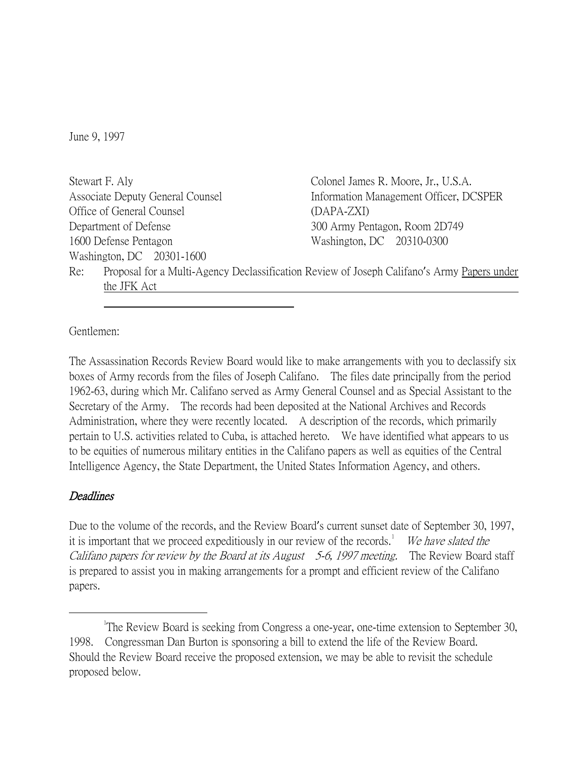June 9, 1997

Stewart F. Aly Associate Deputy General Counsel Office of General Counsel Department of Defense 1600 Defense Pentagon Washington, DC 20301-1600 Colonel James R. Moore, Jr., U.S.A. Information Management Officer, DCSPER (DAPA-ZXI) 300 Army Pentagon, Room 2D749 Washington, DC 20310-0300 Re: Proposal for a Multi-Agency Declassification Review of Joseph Califano's Army Papers under the JFK Act

Gentlemen:

The Assassination Records Review Board would like to make arrangements with you to declassify six boxes of Army records from the files of Joseph Califano. The files date principally from the period 1962-63, during which Mr. Califano served as Army General Counsel and as Special Assistant to the Secretary of the Army. The records had been deposited at the National Archives and Records Administration, where they were recently located. A description of the records, which primarily pertain to U.S. activities related to Cuba, is attached hereto. We have identified what appears to us to be equities of numerous military entities in the Califano papers as well as equities of the Central Intelligence Agency, the State Department, the United States Information Agency, and others.

## Deadlines

Due to the volume of the records, and the Review Board's current sunset date of September 30, 1997, it is important that we proceed expeditiously in our review of the records.<sup>[1](#page-0-0)</sup> We have slated the Califano papers for review by the Board at its August 5-6, 1997 meeting. The Review Board staff is prepared to assist you in making arrangements for a prompt and efficient review of the Califano papers.

<span id="page-0-0"></span> $\overline{\phantom{a}}$ <sup>1</sup>The Review Board is seeking from Congress a one-year, one-time extension to September 30, 1998. Congressman Dan Burton is sponsoring a bill to extend the life of the Review Board. Should the Review Board receive the proposed extension, we may be able to revisit the schedule proposed below.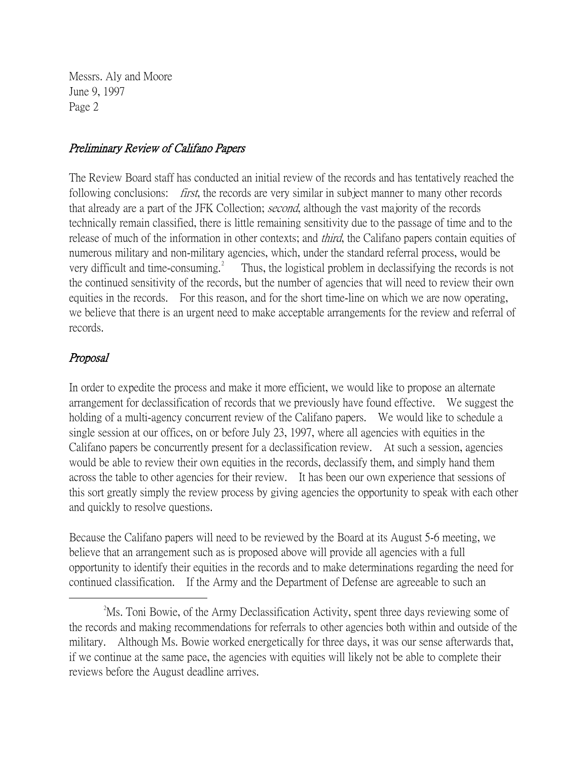Messrs. Aly and Moore June 9, 1997 Page 2

## Preliminary Review of Califano Papers

The Review Board staff has conducted an initial review of the records and has tentatively reached the following conclusions: *first*, the records are very similar in subject manner to many other records that already are a part of the JFK Collection; second, although the vast majority of the records technically remain classified, there is little remaining sensitivity due to the passage of time and to the release of much of the information in other contexts; and *third*, the Califano papers contain equities of numerous military and non-military agencies, which, under the standard referral process, would be very difficult and time-consuming.<sup>[2](#page-1-0)</sup> Thus, the logistical problem in declassifying the records is not the continued sensitivity of the records, but the number of agencies that will need to review their own equities in the records. For this reason, and for the short time-line on which we are now operating, we believe that there is an urgent need to make acceptable arrangements for the review and referral of records.

## Proposal

In order to expedite the process and make it more efficient, we would like to propose an alternate arrangement for declassification of records that we previously have found effective. We suggest the holding of a multi-agency concurrent review of the Califano papers. We would like to schedule a single session at our offices, on or before July 23, 1997, where all agencies with equities in the Califano papers be concurrently present for a declassification review. At such a session, agencies would be able to review their own equities in the records, declassify them, and simply hand them across the table to other agencies for their review. It has been our own experience that sessions of this sort greatly simply the review process by giving agencies the opportunity to speak with each other and quickly to resolve questions.

Because the Califano papers will need to be reviewed by the Board at its August 5-6 meeting, we believe that an arrangement such as is proposed above will provide all agencies with a full opportunity to identify their equities in the records and to make determinations regarding the need for continued classification. If the Army and the Department of Defense are agreeable to such an

<span id="page-1-0"></span> $\overline{\phantom{a}}$  2 <sup>2</sup>Ms. Toni Bowie, of the Army Declassification Activity, spent three days reviewing some of the records and making recommendations for referrals to other agencies both within and outside of the military. Although Ms. Bowie worked energetically for three days, it was our sense afterwards that, if we continue at the same pace, the agencies with equities will likely not be able to complete their reviews before the August deadline arrives.